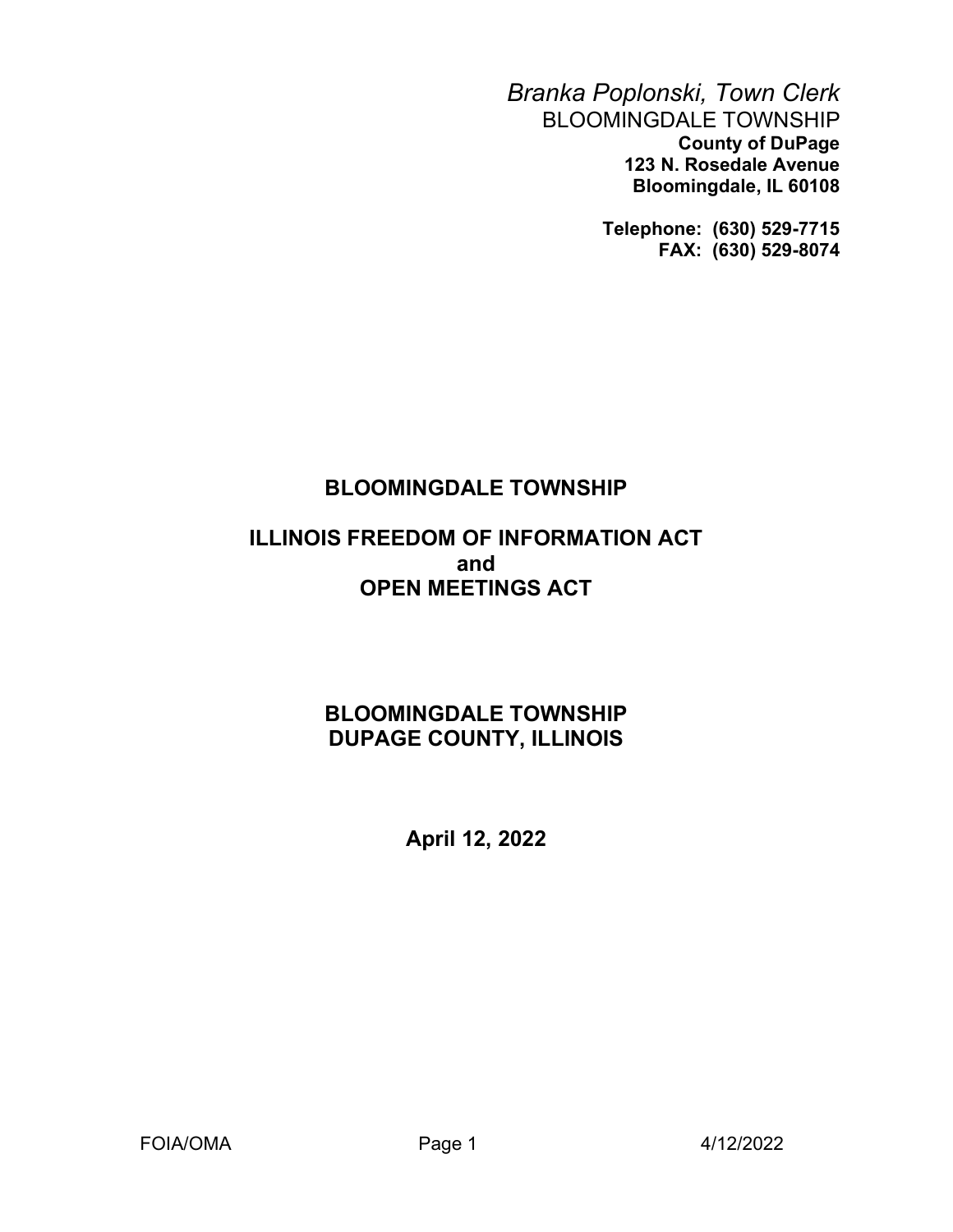Branka Poplonski, Town Clerk BLOOMINGDALE TOWNSHIP County of DuPage 123 N. Rosedale Avenue Bloomingdale, IL 60108

> Telephone: (630) 529-7715 FAX: (630) 529-8074

# BLOOMINGDALE TOWNSHIP

### ILLINOIS FREEDOM OF INFORMATION ACT and OPEN MEETINGS ACT

# BLOOMINGDALE TOWNSHIP DUPAGE COUNTY, ILLINOIS

April 12, 2022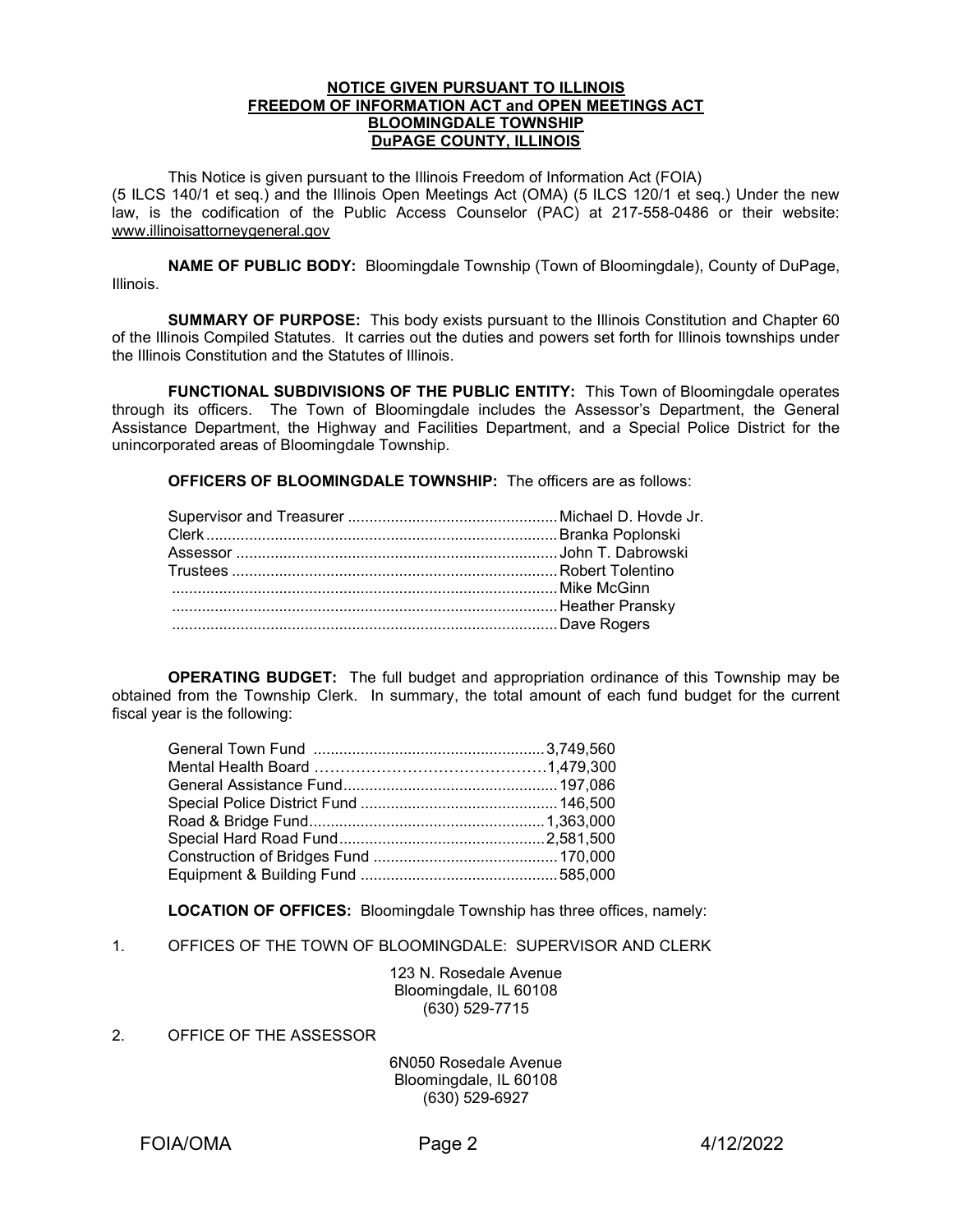#### NOTICE GIVEN PURSUANT TO ILLINOIS FREEDOM OF INFORMATION ACT and OPEN MEETINGS ACT BLOOMINGDALE TOWNSHIP DuPAGE COUNTY, ILLINOIS

 This Notice is given pursuant to the Illinois Freedom of Information Act (FOIA) (5 ILCS 140/1 et seq.) and the Illinois Open Meetings Act (OMA) (5 ILCS 120/1 et seq.) Under the new law, is the codification of the Public Access Counselor (PAC) at 217-558-0486 or their website: www.illinoisattorneygeneral.gov

NAME OF PUBLIC BODY: Bloomingdale Township (Town of Bloomingdale), County of DuPage, Illinois.

**SUMMARY OF PURPOSE:** This body exists pursuant to the Illinois Constitution and Chapter 60 of the Illinois Compiled Statutes. It carries out the duties and powers set forth for Illinois townships under the Illinois Constitution and the Statutes of Illinois.

 FUNCTIONAL SUBDIVISIONS OF THE PUBLIC ENTITY: This Town of Bloomingdale operates through its officers. The Town of Bloomingdale includes the Assessor's Department, the General Assistance Department, the Highway and Facilities Department, and a Special Police District for the unincorporated areas of Bloomingdale Township.

OFFICERS OF BLOOMINGDALE TOWNSHIP: The officers are as follows:

OPERATING BUDGET: The full budget and appropriation ordinance of this Township may be obtained from the Township Clerk. In summary, the total amount of each fund budget for the current fiscal year is the following:

LOCATION OF OFFICES: Bloomingdale Township has three offices, namely:

1. OFFICES OF THE TOWN OF BLOOMINGDALE: SUPERVISOR AND CLERK

123 N. Rosedale Avenue Bloomingdale, IL 60108 (630) 529-7715

2. OFFICE OF THE ASSESSOR

6N050 Rosedale Avenue Bloomingdale, IL 60108 (630) 529-6927

FOIA/OMA Page 2 4/12/2022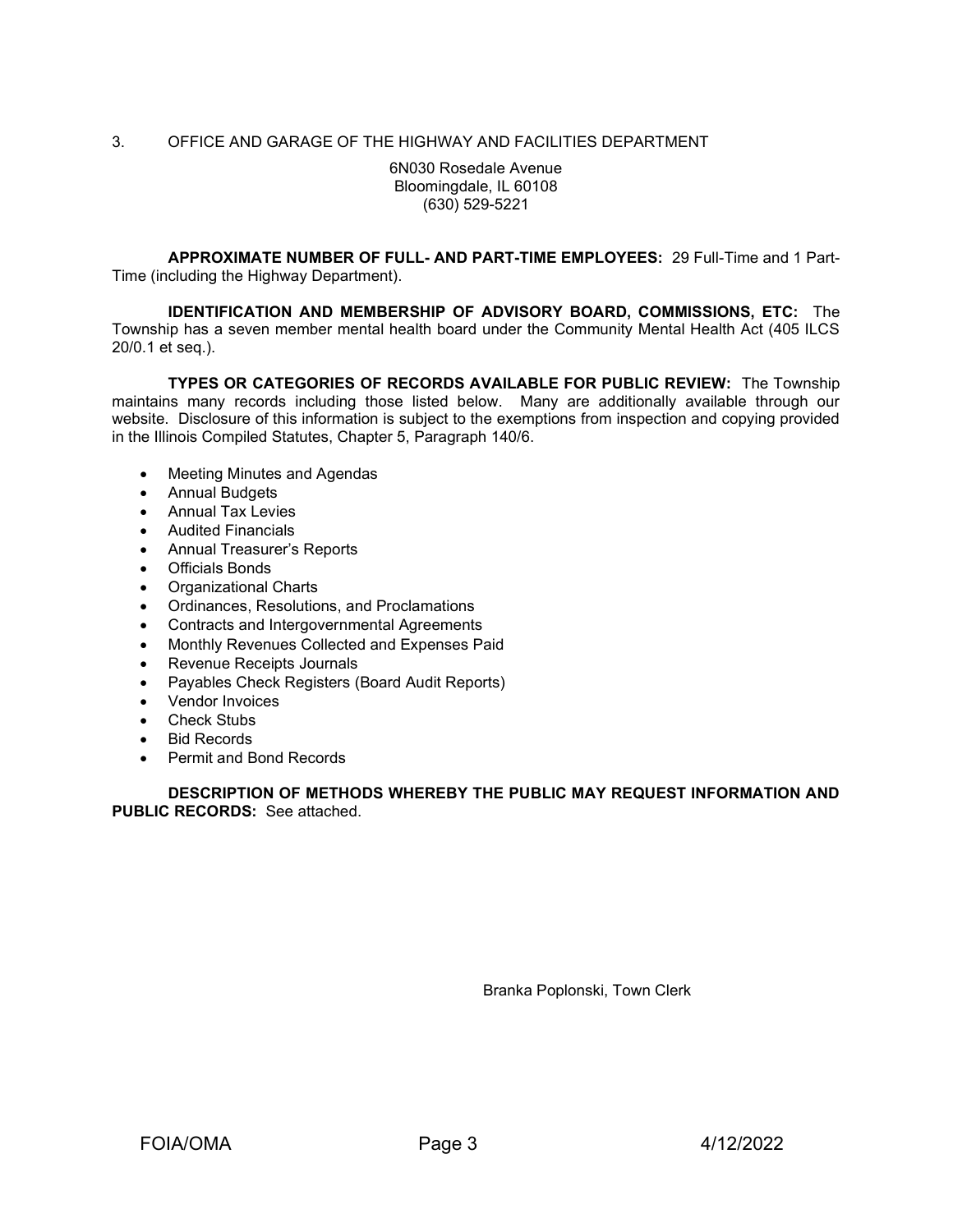### 3. OFFICE AND GARAGE OF THE HIGHWAY AND FACILITIES DEPARTMENT

6N030 Rosedale Avenue Bloomingdale, IL 60108 (630) 529-5221

 APPROXIMATE NUMBER OF FULL- AND PART-TIME EMPLOYEES: 29 Full-Time and 1 Part-Time (including the Highway Department).

IDENTIFICATION AND MEMBERSHIP OF ADVISORY BOARD, COMMISSIONS, ETC: The Township has a seven member mental health board under the Community Mental Health Act (405 ILCS 20/0.1 et seq.).

TYPES OR CATEGORIES OF RECORDS AVAILABLE FOR PUBLIC REVIEW: The Township maintains many records including those listed below. Many are additionally available through our website. Disclosure of this information is subject to the exemptions from inspection and copying provided in the Illinois Compiled Statutes, Chapter 5, Paragraph 140/6.

- Meeting Minutes and Agendas
- Annual Budgets
- Annual Tax Levies
- Audited Financials
- Annual Treasurer's Reports
- Officials Bonds
- Organizational Charts
- Ordinances, Resolutions, and Proclamations
- Contracts and Intergovernmental Agreements
- Monthly Revenues Collected and Expenses Paid
- Revenue Receipts Journals
- Payables Check Registers (Board Audit Reports)
- Vendor Invoices
- Check Stubs
- Bid Records
- Permit and Bond Records

DESCRIPTION OF METHODS WHEREBY THE PUBLIC MAY REQUEST INFORMATION AND PUBLIC RECORDS: See attached.

Branka Poplonski, Town Clerk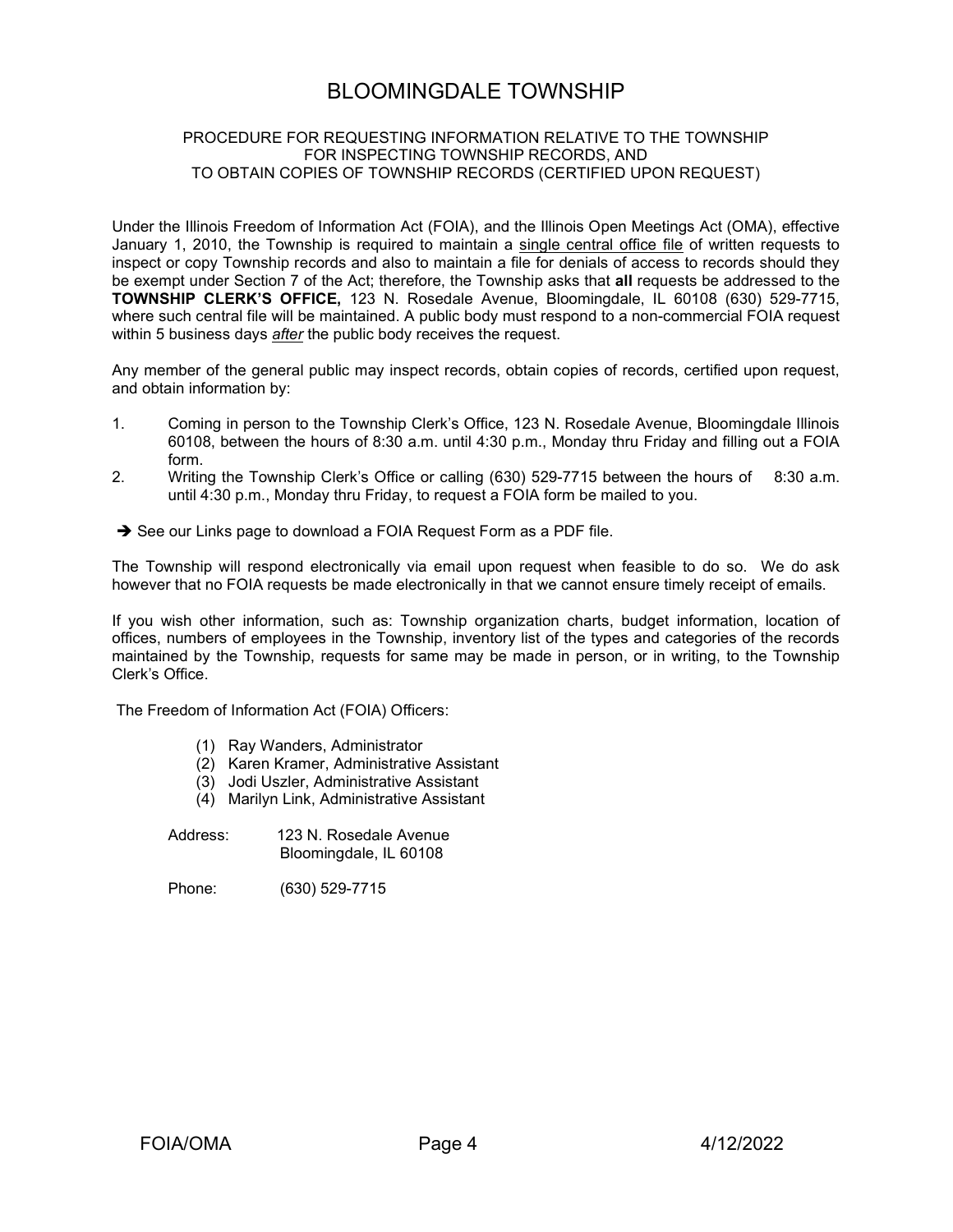### BLOOMINGDALE TOWNSHIP

### PROCEDURE FOR REQUESTING INFORMATION RELATIVE TO THE TOWNSHIP FOR INSPECTING TOWNSHIP RECORDS, AND TO OBTAIN COPIES OF TOWNSHIP RECORDS (CERTIFIED UPON REQUEST)

Under the Illinois Freedom of Information Act (FOIA), and the Illinois Open Meetings Act (OMA), effective January 1, 2010, the Township is required to maintain a single central office file of written requests to inspect or copy Township records and also to maintain a file for denials of access to records should they be exempt under Section 7 of the Act; therefore, the Township asks that all requests be addressed to the TOWNSHIP CLERK'S OFFICE, 123 N. Rosedale Avenue, Bloomingdale, IL 60108 (630) 529-7715, where such central file will be maintained. A public body must respond to a non-commercial FOIA request within 5 business days *after* the public body receives the request.

Any member of the general public may inspect records, obtain copies of records, certified upon request, and obtain information by:

- 1. Coming in person to the Township Clerk's Office, 123 N. Rosedale Avenue, Bloomingdale Illinois 60108, between the hours of 8:30 a.m. until 4:30 p.m., Monday thru Friday and filling out a FOIA form.
- 2. Writing the Township Clerk's Office or calling (630) 529-7715 between the hours of 8:30 a.m. until 4:30 p.m., Monday thru Friday, to request a FOIA form be mailed to you.
- See our Links page to download a FOIA Request Form as a PDF file.

The Township will respond electronically via email upon request when feasible to do so. We do ask however that no FOIA requests be made electronically in that we cannot ensure timely receipt of emails.

If you wish other information, such as: Township organization charts, budget information, location of offices, numbers of employees in the Township, inventory list of the types and categories of the records maintained by the Township, requests for same may be made in person, or in writing, to the Township Clerk's Office.

The Freedom of Information Act (FOIA) Officers:

- (1) Ray Wanders, Administrator
- (2) Karen Kramer, Administrative Assistant
- (3) Jodi Uszler, Administrative Assistant
- (4) Marilyn Link, Administrative Assistant
- Address: 123 N. Rosedale Avenue Bloomingdale, IL 60108

Phone: (630) 529-7715